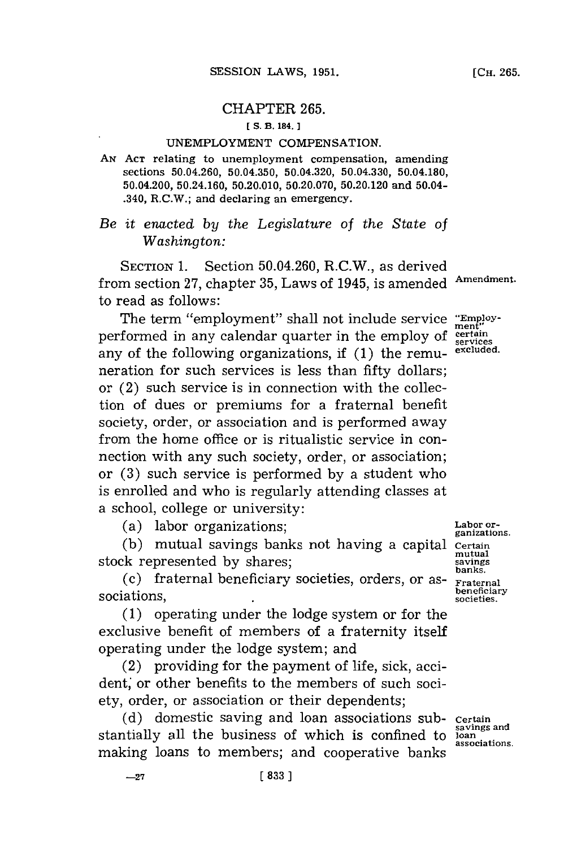#### CHAPTER **265.**

## **fS. B. 184.**

## **UNEMPLOYMENT** COMPENSATION.

**AN ACT** relating to unemployment compensation, amending sections 50.04.260, **50.04.350,** 50.04.320, 50.04.330, 50.04.180, 50.04.200, 50.24.160, **50.20.010, 50.20.070, 50.20.120** and 50.04- .340, R.C.W.; and declaring an emergency.

*Be it enacted by the Legislature of the State of Was hington:*

**SECTION 1.** Section 50.04.260, R.C.W., as derived from section **27,** chapter **35,** Laws of 1945, is amended **Amendment.** to read as follows:

The term "employment" shall not include service "Employperformed in any calendar quarter in the employ of  $\frac{\text{certain}}{\text{series}}$ any of the following organizations, if **(1)** the remu- **excluded.** neration for such services is less than **fifty** dollars; or (2) such service is in connection with the collection of dues or premiums for a fraternal benefit society, order, or association and is performed away from the home office or is ritualistic service in connection with any such society, order, or association; or **(3)** such service is performed **by** a student who is enrolled and who is regularly attending classes at a school, college or university:

(a) labor organizations;<br>ganizations.

**(b)** mutual savings banks not having a capital **Certain**

stock represented by shares;<br>
(c) fraternal beneficiary societies, orders, or as-<br> **panks.**<br> **panelling**<br> **panelling beneficial**<br>sociations, societies, societies, societies, societies, societies, societies, societies, societies, societies,  $\frac{1}{2}$ 

**(1)** operating under the lodge system or for the exclusive benefit of members of a fraternity itself operating under the lodge system; and

(2) providing for the payment of life, sick, accident, or other benefits to the members of such society, order, or association or their dependents;

(d) domestic saving and loan associations sub- certain savings and stantially all the business of which is confined to **loan** associations. making loans to members; and cooperative banks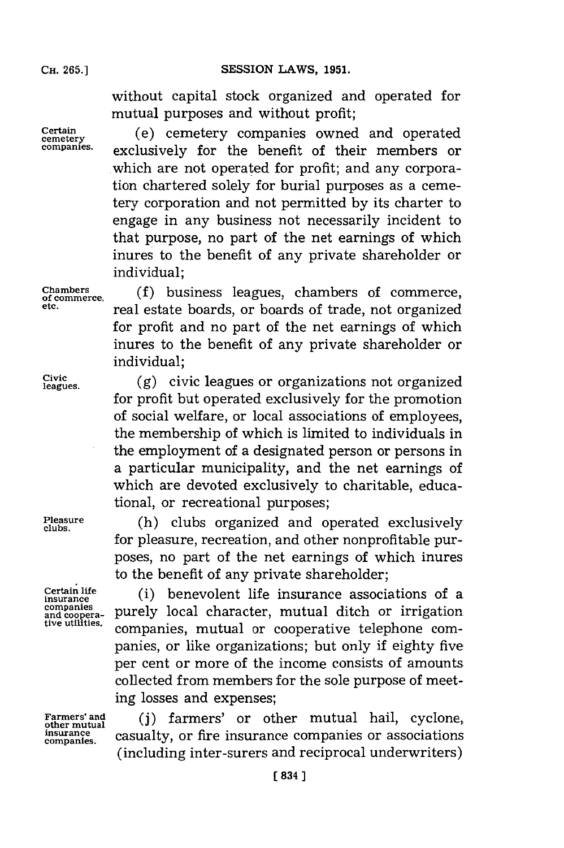**SESSION LAWS, 1951.** 

without capital stock organized and operated for mutual purposes and without profit;

Certain **cemetery** (e) cemetery companies owned and operated **companies,** exclusively for the benefit of their members or which are not operated for profit; and any corporation chartered solely for burial purposes as a cemetery corporation and not permitted **by** its charter to engage in any business not necessarily incident to that purpose, no part of the net earnings of which inures to the benefit of any private shareholder or individual;

**Chambers** (fbu legeocomr, **of commerce,** uiess **mf** legechambers o omre **etc.** real estate boards, or boards of trade, not organized for profit and no part of the net earnings of which inures to the benefit of any private shareholder or individual;

leagues. **(g)** civic leagues or organizations not organized for profit but operated exclusively for the promotion of social welfare, or local associations of employees, the membership of which is limited to individuals in the employment of a designated person or persons in a particular municipality, and the net earnings of which are devoted exclusively to charitable, educational, or recreational purposes;

**Pleasure** (h) clubs organized and operated exclusively **clubs.** for pleasure, recreation, and other nonprofitable purposes, no part of the net earnings of which inures to the benefit of any private shareholder;

**Certain life** (i) benevolent life insurance associations of a **insurance** companies purely local character, mutual ditch or irrigation and coopera-<br>tive utilities. companies, mutual or cooperative telephone companies, or like organizations; but only if eighty five per cent or more of the income consists of amounts collected from members for the sole purpose of meeting losses and expenses;

Farmers' and (j) farmers' or other mutual hail, cyclone, insurance casualty, or fire insurance companies or associations (including inter-surers and reciprocal underwriters)

**companies.**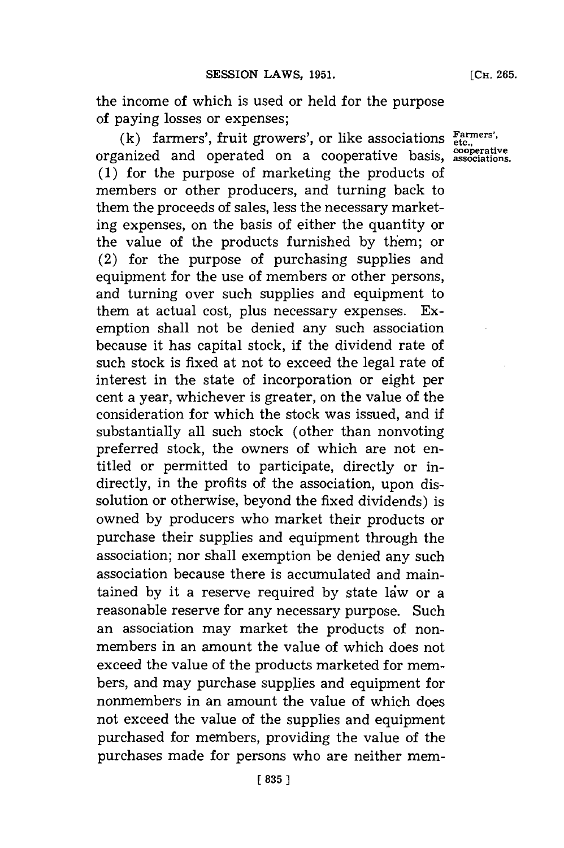**[CH. 265.**

the income of which is used or held for the purpose of paying losses or expenses;

**(k)** farmers', fruit growers', or like associations **Farmers',** organized and operated on a cooperative basis, <sup>cooperative</sup> **(1)** for the purpose of marketing the products of members or other producers, and turning back to them the proceeds of sales, less the necessary marketing expenses, on the basis of either the quantity or the value of the products furnished **by** them; or (2) for the purpose of purchasing supplies and equipment for the use of members or other persons, and turning over such supplies and equipment to them at actual cost, plus necessary expenses. Exemption shall not be denied any such association because it has capital stock, if the dividend rate of such stock is fixed at not to exceed the legal rate of interest in the state of incorporation or eight per cent a year, whichever is greater, on the value of the consideration for which the stock was issued, and if substantially all such stock (other than nonvoting preferred stock, the owners of which are not entitled or permitted to participate, directly or indirectly, in the profits of the association, upon dissolution or otherwise, beyond the fixed dividends) is owned **by** producers who market their products or purchase their supplies and equipment through the association; nor shall exemption be denied any such association because there is accumulated and maintained by it a reserve required by state law or a reasonable reserve for any necessary purpose. Such an association may market the products of nonmembers in an amount the value of which does not exceed the value of the products marketed for members, and may purchase supplies and equipment for nonmembers in an amount the value of which does not exceed the value of the supplies and equipment purchased for members, providing the value of the purchases made for persons who are neither mem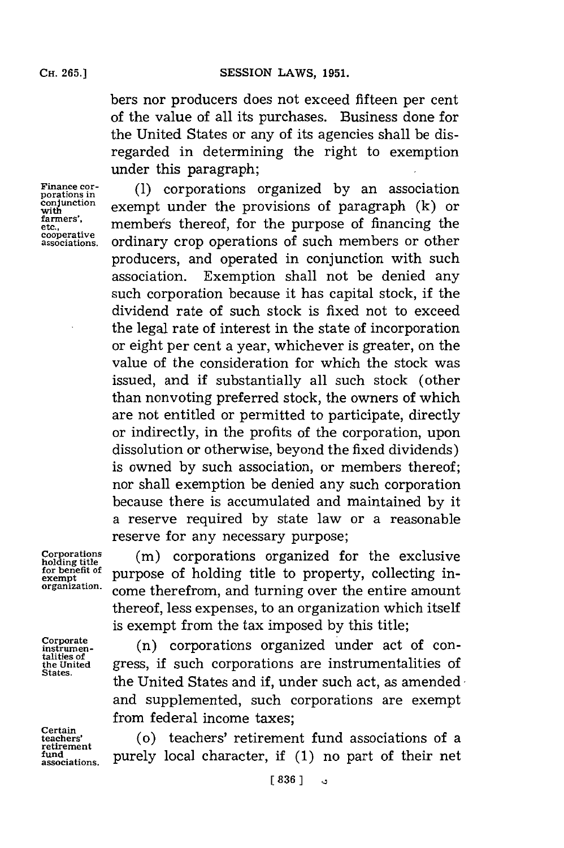bers nor producers does not exceed fifteen per cent of the value of all its purchases. Business done for the United States or any of its agencies shall be disregarded in determining the right to exemption under this paragraph;

**farmers', cooperative**

**Finance cor-** (1) corporations organized by an association porations in porations in<br>conjunction<br>with exempt under the provisions of paragraph (k) or member's thereof, for the purpose of financing the **associations,** ordinary crop operations of such members or other producers, and operated in conjunction with such association. Exemption shall not be denied any such corporation because it has capital stock, if the dividend rate of such stock is fixed not to exceed the legal rate of interest in the state of incorporation or eight per cent a year, whichever is greater, on the value of the consideration for which the stock was issued, and if substantially all such stock (other than nonvoting preferred stock, the owners of which are not entitled or permitted to participate, directly or indirectly, in the profits of the corporation, upon dissolution or otherwise, beyond the fixed dividends) is owned **by** such association, or members thereof; nor shall exemption be denied any such corporation because there is accumulated and maintained **by** it a reserve required **by** state law or a reasonable reserve for any necessary purpose;

**talities of**

**Certain retirement**

**Corporations (in)** corporations organized for the exclusive Lorporations organized for the exclusive<br>holding title<br><u>for benefit of</u> purpose of holding title to property, collecting infor benefit of purpose of holding title to property, collecting in-<br>organization. come therefrom, and turning over the entire amount thereof, less expenses, to an organization which itself is exempt from the tax imposed **by** this title;

 $<sub>instrument</sub>$  (n) corporations organized under act of con-</sub> the United **gress**, if such corporations are instrumentalities of states. the United States and if, under such act, as amended  $\cdot$ and supplemented, such corporations are exempt from federal income taxes;

**teachers'** (o) teachers' retirement fund associations of a fund turned by local character, if (1) no part of their net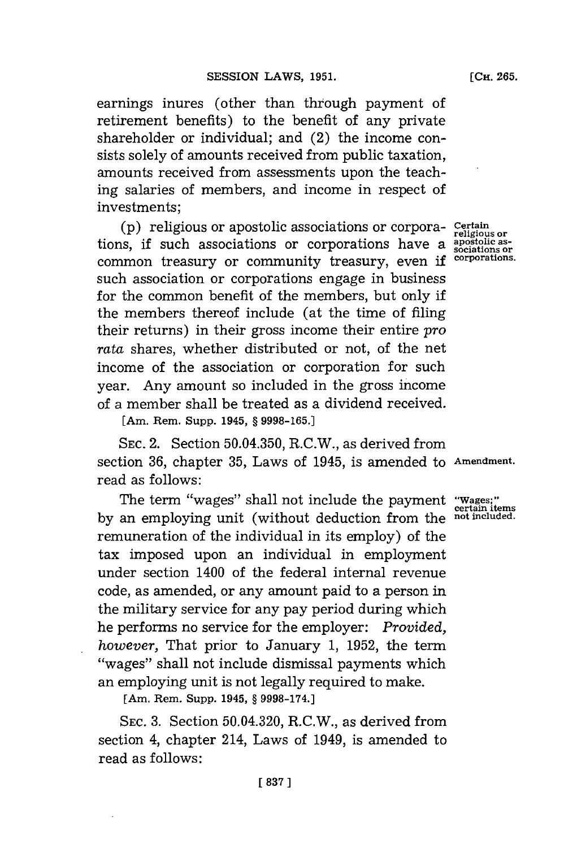earnings inures (other than through payment of retirement benefits) to the benefit of any private shareholder or individual; and (2) the income consists solely of amounts received from public taxation, amounts received from assessments upon the teaching salaries of members, and income in respect of investments;

**(p)** religious or apostolic associations or corpora- **Certain o** tions, if such associations or corporations have a  $_{sociations or}^{\text{arostolic}}$ common treasury or community treasury, even if <sup>corporations.</sup> such association or corporations engage in business for the common benefit of the members, but only if the members thereof include (at the time of filing their returns) in their gross income their entire *pro rata* shares, whether distributed or not, of the net income of the association or corporation for such year. Any amount so included in the gross income of a member shall be treated as a dividend received.

**[Am. Rem. Supp. 1945, § 9998-165.1**

**SEC.** 2. Section **50.04.350,** R.C.W., as derived from section **36,** chapter **35,** Laws of 1945, is amended to **Amendment.** read as follows:

The term "wages" shall not include the payment **"Wages;" certain items by** an employing unit (without deduction from the **not included**remuneration of the individual in its employ) of the tax imposed upon an individual in employment under section 1400 of the federal internal revenue code, as amended, or any amount paid to a person in the military service for any pay period during which he performs no service for the employer: *Provided, however,* That prior to January **1, 1952,** the term "wages" shall not include dismissal payments which an employing unit is not legally required to make.

**[Am. Rem. Supp. 1945, § 9998-174.]**

**SEC. 3.** Section 50.04.320, R.C.W., as derived from section 4, chapter 214, Laws of 1949, is amended to read as follows: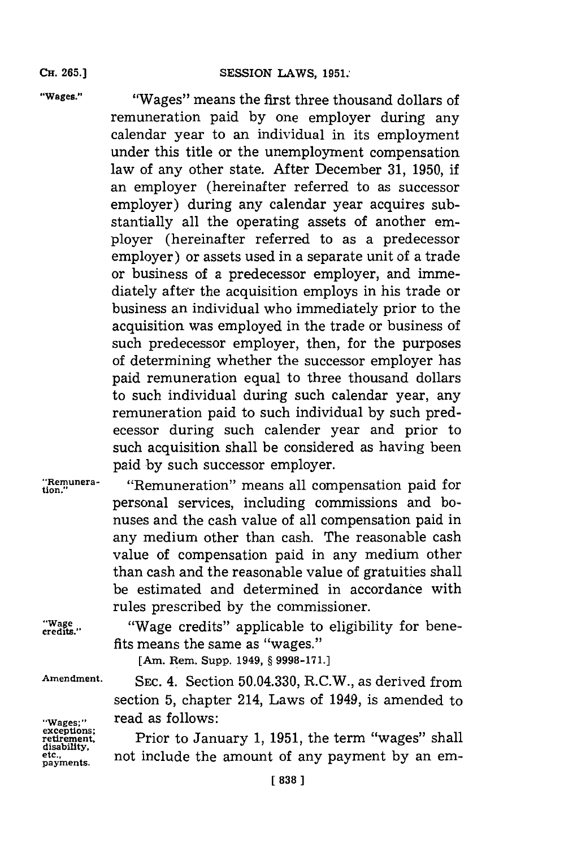## **SESSION LAWS, 1951.**

**CH. 265.1**

**"Wages."** "Wages" means the first three thousand dollars of remuneration paid **by** one employer during any calendar year to an individual in its employment under this title or the unemployment compensation law of any other state. After December **31, 1950,** if an employer (hereinafter referred to as successor employer) during any calendar year acquires substantially all the operating assets of another employer (hereinafter referred to as a predecessor employer) or assets used in a separate unit of a trade or business of a predecessor employer, and immediately after the acquisition employs in his trade or business an individual who immediately prior to the acquisition was employed in the trade or business of such predecessor employer, then, for the purposes of determining whether the successor employer has paid remuneration equal to three thousand dollars to such individual during such calendar year, any remuneration paid to such individual **by** such predecessor during such calender year and prior to such acquisition shall be considered as having been paid **by** such successor employer.

"Remunera- "Remuneration" means all compensation paid for personal services, including commissions and bonuses and the cash value of all compensation paid in any medium other than cash. The reasonable cash value of compensation paid in any medium other than cash and the reasonable value of gratuities shall be estimated and determined in accordance with rules prescribed **by** the commissioner.

"Wage "Wage credits" applicable to eligibility for benefits means the same as "wages."

[Am. Rem. Supp. 1949, **§ 9998-171.]**

Wages;" **Tradas follows:**<br>exceptions;<br>retirement, **Prior** to Janu **disability. payments.**

**Amendment. SEC.** 4. Section 50.04.330, R.C.W., as derived from section **5,** chapter 214, Laws of 1949, is amended to

> Prior to January 1, 1951, the term "wages" shall not include the amount of any payment by an em-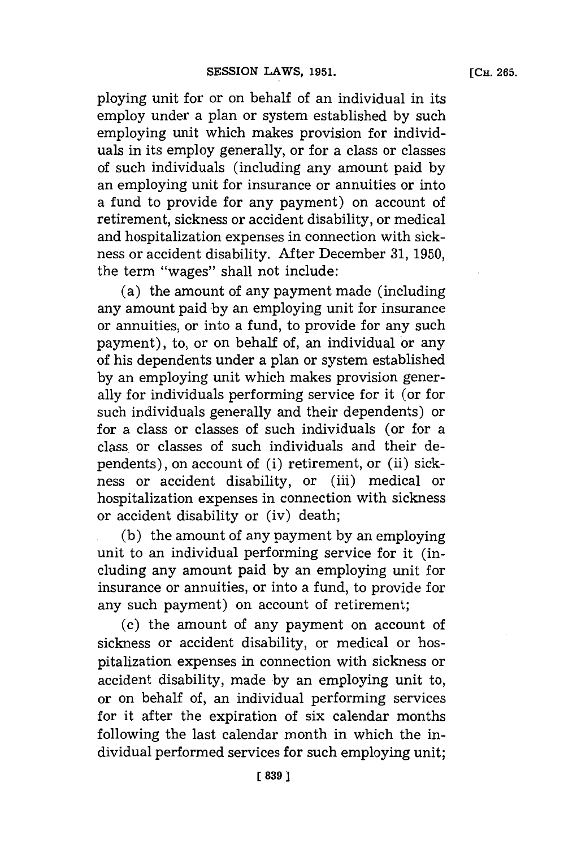ploying unit **for** or on behalf of an individual in its employ under a plan or system established **by** such employing unit which makes provision for individuals in its employ generally, or for a class or classes of such individuals (including any amount paid **by** an employing unit for insurance or annuities or into a fund to provide for any payment) on account of retirement, sickness or accident disability, or medical and hospitalization expenses in connection with sickness or accident disability. **After** December **31, 1950,** the term "wages" shall not include:

(a) the amount of any payment made (including any amount paid **by** an employing unit **for** insurance or annuities, or into a fund, to provide **for** any such payment), to, or on behalf of, an individual or any of his dependents under a plan or system established **by** an employing unit which makes provision generally for individuals performing service for it (or **for** such individuals generally and their dependents) or for a class or classes of such individuals (or for a class or classes of such individuals and their dependents), on account of (i) retirement, or (ii) sickness or accident disability, or (iii) medical or hospitalization expenses in connection with sickness or accident disability or (iv) death;

**(b)** the amount of any payment **by** an employing unit to an individual performing service for it (including any amount paid **by** an employing unit for insurance or annuities, or into a fund, to provide for any such payment) on account of retirement;

(c) the amount of any payment on account of sickness or accident disability, or medical or hospitalization expenses in connection with sickness or accident disability, made **by** an employing unit to, or on behalf of, an individual performing services for it after the expiration of six calendar months following the last calendar month in which the individual performed services for such employing unit;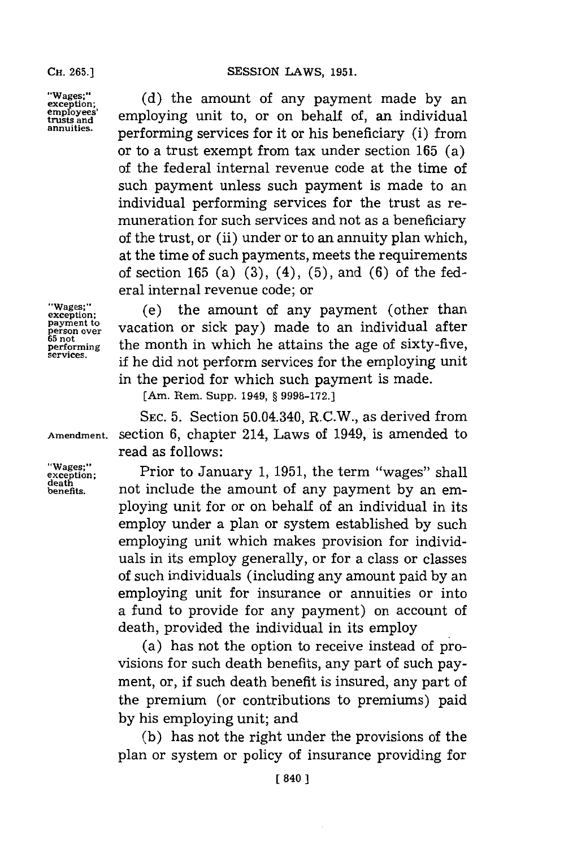"Wages;" (d) the amount of any payment made by an employees' employing unit to, or on behalf of, an individual annitis. performing services **for** it or his beneficiary (i) from or to a trust exempt from tax under section **165** (a) of the federal internal revenue code at the time of such payment unless such payment is made to an individual performing services for the trust as remuneration for such services and not as a beneficiary of the trust, or (ii) under or to an annuity plan which, at the time of such payments, meets the requirements of section **165** (a) **(3),** (4), **(5),** and **(6)** of the federal internal revenue code; or

**payment to**

"Wages;" (e) the amount of any payment (other than **Payment to**<br>**Person over vacation** or sick pay) made to an individual after<br>65 not the manth in which he attains the age of givty five **performing** the month in which he attains the age of sixty-five, services. if he did not perform services for the employing unit in the period for which such payment is made.

[Am. Rem. Supp. 1949, **§ 9998-172.]**

**SEC. 5.** Section 50.04.340, R.C.W., as derived from **Amendment.** section **6,** chapter 214, Laws of 1949, is amended to read as follows:

**exception;** Prior to January **1, 1951,** the term "wages" shall **benefits,** not include the amount of any payment **by** an employing unit for or on behalf of an individual in its employ under a plan or system established **by** such employing unit which makes provision for individuals in its employ generally, or for a class or classes of such individuals (including any amount paid **by** an employing unit for insurance or annuities or into a fund to provide for any payment) on account of death, provided the individual in its employ

> (a) has not the option to receive instead of provisions for such death benefits, any part of such payment, or, if such death benefit is insured, any part of the premium (or contributions to premiums) paid **by** his employing unit; and

> **(b)** has not the right under the provisions of the plan or system or policy of insurance providing for

**death**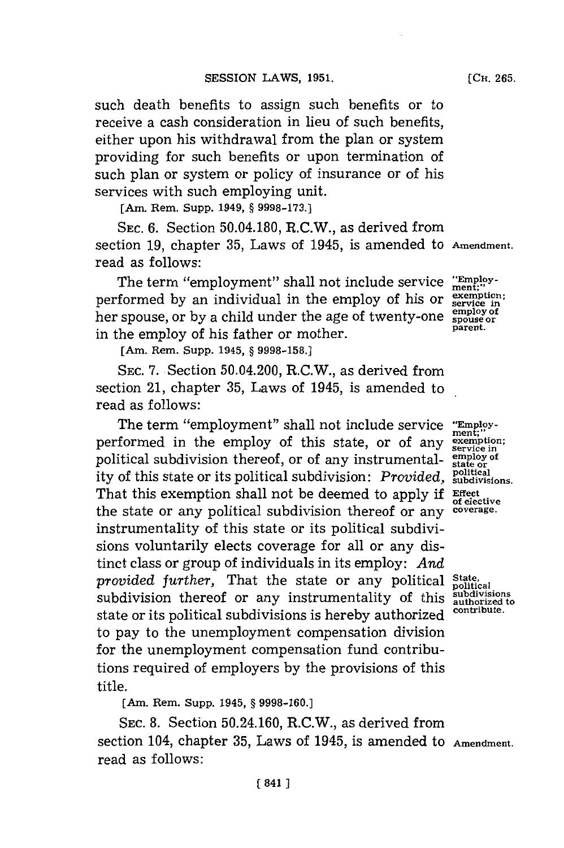such death benefits to assign such benefits or to receive a cash consideration in lieu of such benefits, either upon his withdrawal from the plan or system providing for such benefits or upon termination of such plan or system or policy of insurance or of his services with such employing unit.

[Am. Rem. Supp. 1949, **§ 9998-173.]**

**SEC. 6.** Section 50.04.180, R.C.W., as derived from section **19,** chapter **35,** Laws of 1945, is amended to **Amendment.** read as follows:

The term "employment" shall not include service " $_{\text{ment}}^{\text{Exmoly}}$ " performed by an individual in the employ of his or exemption her spouse, or by a child under the age of twenty-one spouse or<br>parent. in the employ of his father or mother.

[Am. Rem. Supp. 1945, **§ 9998-158.]**

SEC. 7. Section 50.04.200, R.C.W., as derived from section 21, chapter **35,** Laws of 1945, is amended to read as follows:

The term "employment" shall not include service "Employperformed in the employ of this state, or of any **eremption;** political subdivision thereof, or of any instrumental-  $\frac{\text{empty of}}{\text{state of}}$ ity of this state or its political subdivision: *Provided*, **subdivisions**. That this exemption shall not be deemed to apply if **Effect** of elective the state or any political subdivision thereof or any **coverage.** instrumentality of this state or its political subdivisions voluntarily elects coverage for all or any distinct class or group of individuals in its employ: *And provided further,* That the state or any political **State.** subdivision thereof or any instrumentality of this  $\frac{\text{subdivisions}}{\text{subdivisors}}$ state or its political subdivisions is hereby authorized **contribute.** to pay to the unemployment compensation division for the unemployment compensation fund contributions required of employers **by** the provisions of this title.

[Am. Rem. Supp. 1945, **§ 9998-160.]**

**SEC. 8.** Section 50.24.160, R.C.W., as derived from section 104, chapter **35,** Laws of 1945, is amended to **Amendment.** read as follows: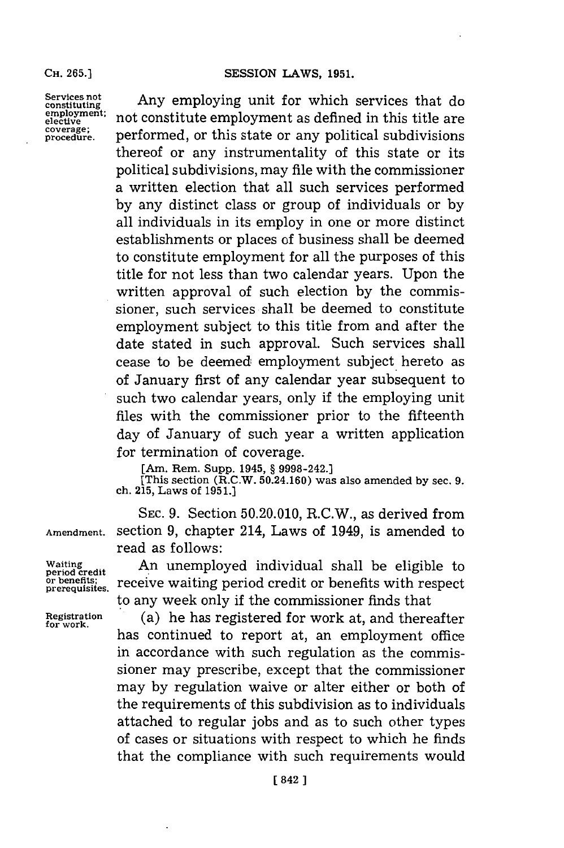**CH. 265.)**

**employment;**

**Exervices not constituting** Any employing unit for which services that do employment: not constitute employment as defined in this title are coverage;<br>coverage: performed, or this state or any political subdivisions performed, or this state or any political subdivisions thereof or any instrumentality of this state or its political subdivisions, may file with the commissioner a written election that all such services performed **by** any distinct class or group of individuals or **by** all individuals in its employ in one or more distinct establishments or places of business shall be deemed to constitute employment **for** all the purposes of this title for not less than two calendar years. Upon the written approval of such election **by** the commissioner, such services shall be deemed to constitute employment subject to this title from and after the date stated in such approval. Such services shall cease to be deemed employment subject hereto as of January first of any calendar year subsequent to such two calendar years, only if the employing unit files with the commissioner prior to the fifteenth day of January of such year a written application for termination of coverage.

**[Am. Rem. Supp. 1945, § 9998-242.]**

**[This section (R.C.W. 50.24.160) was also amended by sec. 9. ch. 215, Laws of 1951.)**

**SEC. 9.** Section **50.20.010,** R.C.W., as derived from **Amendment.** section **9,** chapter 214, Laws of 1949, is amended to read as follows:

**Waiting** An unemployed individual shall be eligible to **period credit** or benefits; receive waiting period credit or benefits with respect to any week only if the commissioner finds that

**Registration** (a) he has registered **for** work at, and thereafter has continued to report at, an employment office in accordance with such regulation as the commissioner may prescribe, except that the commissioner may **by** regulation waive or alter either or both of the requirements of this subdivision as to individuals attached to regular jobs and as to such other types of cases or situations with respect to which he finds that the compliance with such requirements would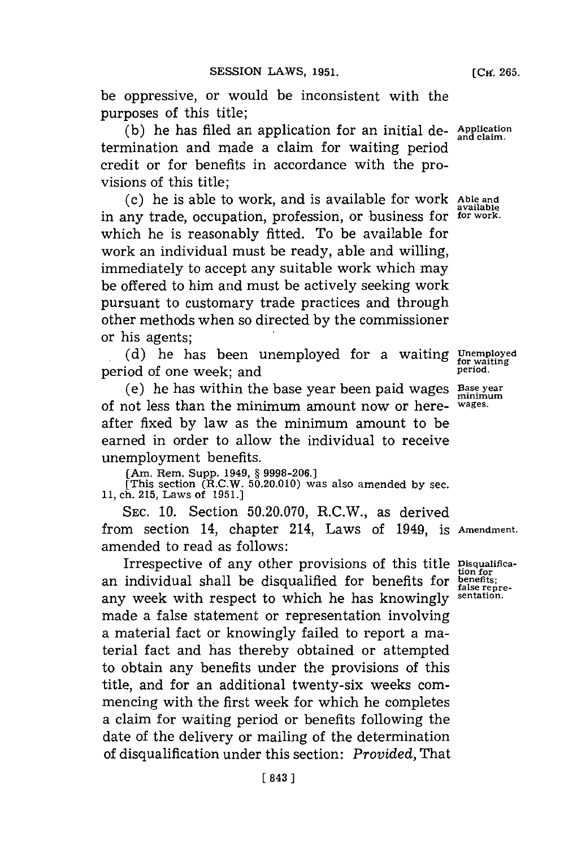be oppressive, or would be inconsistent with the purposes of this title;

**(b)** he has filed an application for an initial de- **Application and claim.** termination and made a claim for waiting period credit or for benefits in accordance with the provisions of this title;

(c) he is able to work, and is available **for** work **Able and** in any trade, occupation, profession, or business for **for work.** which he is reasonably fitted. To be available for work an individual must be ready, able and willing, immediately to accept any suitable work which may be offered to him and must be actively seeking work pursuant to customary trade practices and through other methods when so directed **by** the commissioner or his agents;

(d) he has been unemployed for a waiting Unemployed of one week: and period of one week; and **period.**

(e) he has within the base year been paid wages Base year of not less than the minimum amount now or here- **wages.** after fixed **by** law as the minimum amount to be earned in order to allow the individual to receive unemployment benefits.

[Am. Rem. Supp. 1949, **§ 9998-206.]** [This section (R.C.W. **50.20.010)** was also amended **by** sec. **11,** ch. **215,** Laws of **1951.]**

SEC. **10.** Section **50.20.070,** R.C.W., as derived from section 14, chapter 214, Laws of 1949, **is Amendment.** amended to read as follows:

Irrespective of any other provisions of this title **Disqualifica**an individual shall be disqualified for benefits for **bienefits;** any week with respect to which he has knowingly **sentation.** made a false statement or representation involving a material fact or knowingly failed to report a material fact and has thereby obtained or attempted to obtain any benefits under the provisions of this title, and for an additional twenty-six weeks commencing with the first week for which he completes a claim for waiting period or benefits following the date of the delivery or mailing of the determination of disqualification under this section: *Provided,* That

**available**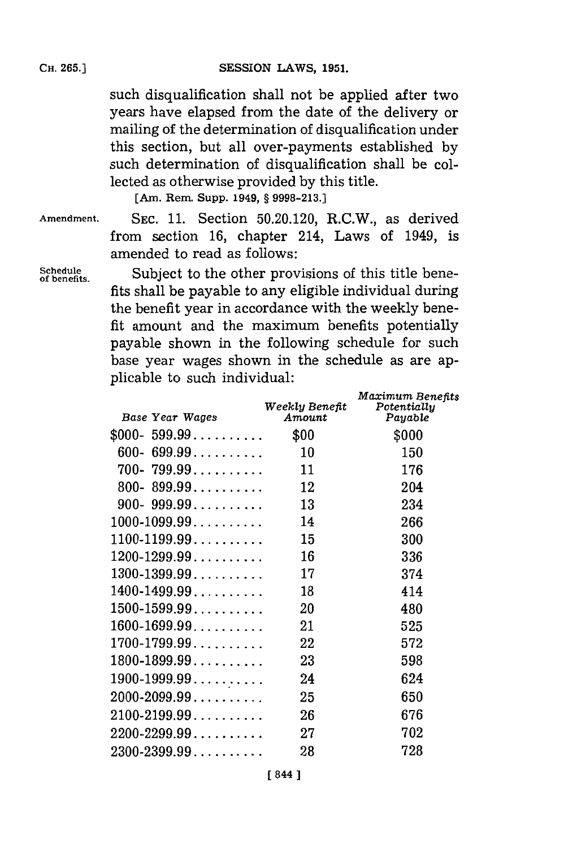such disqualification shall not be applied after two years have elapsed from the date of the delivery or mailing of the determination of disqualification under this section, but all over-payments established **by** such determination of disqualification shall be collected as otherwise provided **by** this title.

**[Am. Rem. Supp. 1949, § 9998-213.]**

**Amendment. SEC. 11.** Section **50.20.120,** R.C.W., as derived from section **16,** chapter 214, Laws of 1949, is amended to read as follows:

Schedule **50 Subject** to the other provisions of this title benefits. fits shall be payable to any eligible individual during the benefit year in accordance with the weekly benefit amount and the maximum benefits potentially payable shown in the following schedule for such base year wages shown in the schedule as are applicable to such individual:

| Base Year Wages                            | Weekly Benefit<br>Amount | Maximum Benefits<br>Potentially<br>Payable |
|--------------------------------------------|--------------------------|--------------------------------------------|
| $$000-599.99$                              | \$00                     | \$000                                      |
| $699.99. \ldots \ldots \ldots$<br>600-     | 10                       | 150                                        |
| 700-799.99                                 | 11                       | 176                                        |
| $800 - 899.99 \ldots \ldots$               | 12                       | 204                                        |
| 900- 999.99                                | 13                       | 234                                        |
| $1000 - 1099.99 \ldots \ldots \ldots$      | 14                       | 266                                        |
| $1100 - 1199.99 \ldots \ldots$             | 15                       | 300                                        |
| $1200 - 1299.99 \ldots \ldots \ldots$      | 16                       | 336                                        |
| $1300 - 1399.99 \ldots \ldots \ldots$      | 17                       | 374                                        |
| $1400 - 1499.99 \ldots \ldots \ldots$      | 18                       | 414                                        |
| $1500 - 1599.99 \ldots \ldots \ldots$      | 20                       | 480                                        |
| $1600 - 1699.99 \ldots \ldots$             | 21                       | 525                                        |
| $1700$ - $1799.99\ldots\ldots\ldots\ldots$ | 22                       | 572                                        |
| $1800 - 1899.99 \ldots \ldots \ldots$      | 23                       | 598                                        |
| $1900 - 1999.99 \ldots$                    | 24                       | 624                                        |
| $2000 - 2099.99 \ldots \ldots \ldots$      | 25                       | 650                                        |
| $2100 - 2199.99 \ldots$                    | 26                       | 676                                        |
| $2200$ -2299.99 $\dots\dots\dots$          | 27                       | 702                                        |
| $2300 - 2399.99 \ldots \ldots$             | 28                       | 728                                        |
|                                            |                          |                                            |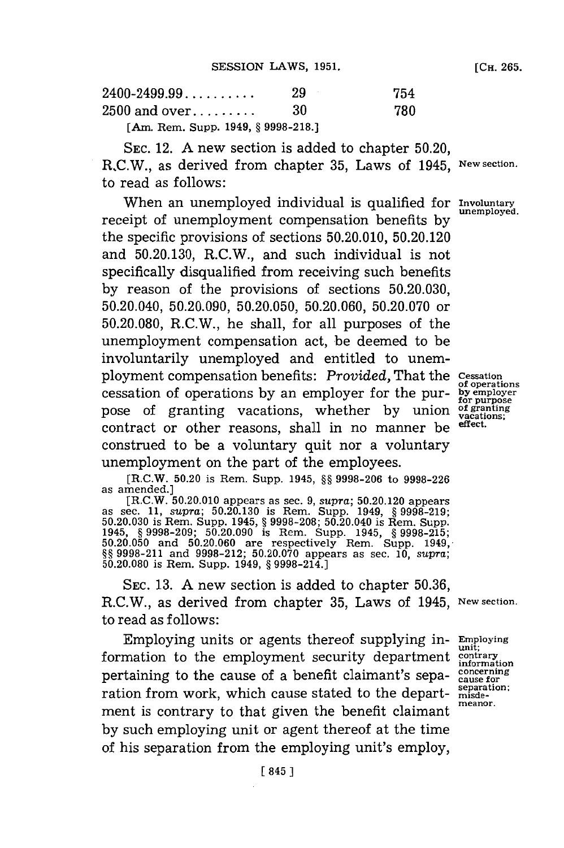| $2400 - 2499.99 \ldots$               | 29  | 754 |
|---------------------------------------|-----|-----|
| $2500$ and over                       | -30 | 780 |
| [Am. Rem. Supp. 1949, $\S$ 9998-218.] |     |     |

**SEC.** 12. **A** new section is added to chapter **50.20,** RC.W., as derived from chapter **35,** Laws of 1945, **New section.** to read as **follows**:

When an unemployed individual is qualified for *Involuntary*<br>unemployed. receipt of unemployment compensation benefits by the specific provisions of sections **50.20.010, 50.20.120** and **50.20.130,** R.C.W., and such individual is not specifically disqualified from receiving such benefits **by** reason of the provisions of sections **50.20.030,** 50.20.040, **50.20.090, 50.20.050, 50.20.060, 50.20.070** or **50.20.080,** R.C.W., he shall, for all purposes of the unemployment compensation act, be deemed to be involuntarily unemployed and entitled to unemployment compensation benefits: *Provided,* That the **cessation cessation of operations by an employer for the pur**pose of granting vacations, whether by union  $\overline{of}$  granting contract or other reasons, shall in no manner he effect. contract or other reasons, shall in no manner be construed to be a voluntary quit nor a voluntary unemployment on the part of the employees.

**of operations<br>by employer<br>for purpose<br>of granting<br>vacations;** 

**[R.C.W. 50.20 is Rem. Supp. 1945, §§ 9998-206** to **9998-226** as amended.]

as amended.]<br>
[R.C.W. 50.20.010 appears as sec. 9, supra; 50.20.120 appears<br>
as sec. 11, supra; 50.20.130 is Rem. Supp. 1949, § 9998-219;<br>
50.20.030 is Rem. Supp. 1945, § 9998-208; 50.20.040 is Rem. Supp.<br>
1945, § 9998-209

**SEC. 13. A** new section is added to chapter **50.36,** R.C.W., as derived from chapter **35,** Laws of 1945, **New section.** to read as follows:

Employing units or agents thereof supplying in- **Emiploying** formation to the employment security department **contrary** pertaining to the cause of a benefit claimant's sepa- concerning<br>ration from work, which cause stated to the depart-  $\frac{\text{separation}}{\text{misede}}$ . ration from work, which cause stated to the department is contrary to that given the benefit claimant meanor. **by** such employing unit or agent thereof at the time of his separation from the employing unit's employ,